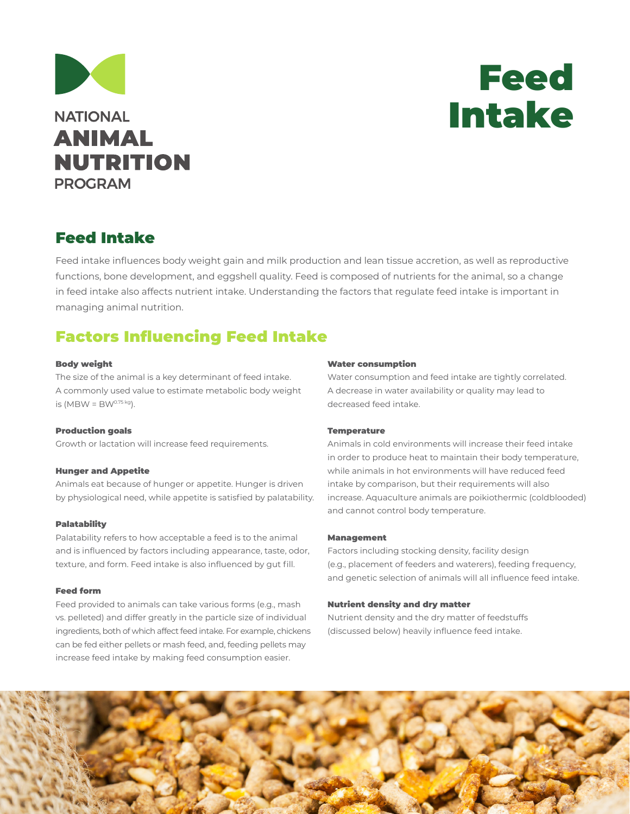



## Feed Intake

Feed intake influences body weight gain and milk production and lean tissue accretion, as well as reproductive functions, bone development, and eggshell quality. Feed is composed of nutrients for the animal, so a change in feed intake also affects nutrient intake. Understanding the factors that regulate feed intake is important in managing animal nutrition.

## Factors Influencing Feed Intake

#### Body weight

The size of the animal is a key determinant of feed intake. A commonly used value to estimate metabolic body weight is  $(MBW = BW^{0.75 kg})$ .

#### Production goals

Growth or lactation will increase feed requirements.

#### Hunger and Appetite

Animals eat because of hunger or appetite. Hunger is driven by physiological need, while appetite is satisfied by palatability.

#### Palatability

Palatability refers to how acceptable a feed is to the animal and is influenced by factors including appearance, taste, odor, texture, and form. Feed intake is also influenced by gut fill.

#### Feed form

Feed provided to animals can take various forms (e.g., mash vs. pelleted) and differ greatly in the particle size of individual ingredients, both of which affect feed intake. For example, chickens can be fed either pellets or mash feed, and, feeding pellets may increase feed intake by making feed consumption easier.

#### Water consumption

Water consumption and feed intake are tightly correlated. A decrease in water availability or quality may lead to decreased feed intake.

#### **Temperature**

Animals in cold environments will increase their feed intake in order to produce heat to maintain their body temperature, while animals in hot environments will have reduced feed intake by comparison, but their requirements will also increase. Aquaculture animals are poikiothermic (coldblooded) and cannot control body temperature.

#### Management

Factors including stocking density, facility design (e.g., placement of feeders and waterers), feeding frequency, and genetic selection of animals will all influence feed intake.

#### Nutrient density and dry matter

Nutrient density and the dry matter of feedstuffs (discussed below) heavily influence feed intake.

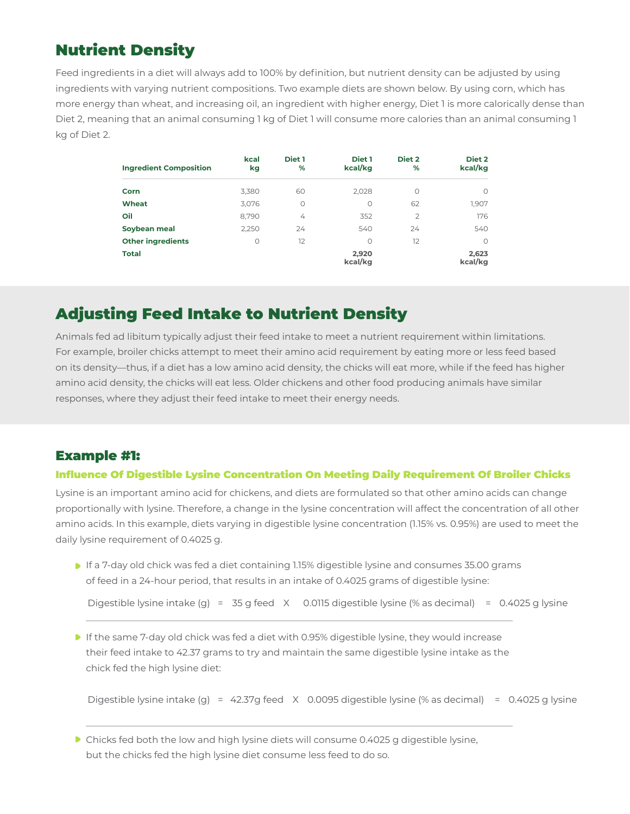# Nutrient Density

Feed ingredients in a diet will always add to 100% by definition, but nutrient density can be adjusted by using ingredients with varying nutrient compositions. Two example diets are shown below. By using corn, which has more energy than wheat, and increasing oil, an ingredient with higher energy, Diet 1 is more calorically dense than Diet 2, meaning that an animal consuming 1 kg of Diet 1 will consume more calories than an animal consuming 1 kg of Diet 2.

| <b>Ingredient Composition</b> | kcal<br>kg | Diet 1<br>% | Diet 1<br>kcal/kg | Diet 2<br>%    | Diet 2<br>kcal/kg |
|-------------------------------|------------|-------------|-------------------|----------------|-------------------|
| Corn                          | 3,380      | 60          | 2,028             | $\circ$        | $\circ$           |
| Wheat                         | 3,076      | $\circ$     | 0                 | 62             | 1,907             |
| Oil                           | 8,790      | 4           | 352               | $\overline{2}$ | 176               |
| Soybean meal                  | 2.250      | 24          | 540               | 24             | 540               |
| <b>Other ingredients</b>      | $\circ$    | 12          | 0                 | 12             | $\Omega$          |
| <b>Total</b>                  |            |             | 2.920<br>kcal/kg  |                | 2,623<br>kcal/kg  |

# Adjusting Feed Intake to Nutrient Density

Animals fed ad libitum typically adjust their feed intake to meet a nutrient requirement within limitations. For example, broiler chicks attempt to meet their amino acid requirement by eating more or less feed based on its density—thus, if a diet has a low amino acid density, the chicks will eat more, while if the feed has higher amino acid density, the chicks will eat less. Older chickens and other food producing animals have similar responses, where they adjust their feed intake to meet their energy needs.

## Example #1:

### Influence Of Digestible Lysine Concentration On Meeting Daily Requirement Of Broiler Chicks

Lysine is an important amino acid for chickens, and diets are formulated so that other amino acids can change proportionally with lysine. Therefore, a change in the lysine concentration will affect the concentration of all other amino acids. In this example, diets varying in digestible lysine concentration (1.15% vs. 0.95%) are used to meet the daily lysine requirement of 0.4025 g.

If a 7-day old chick was fed a diet containing 1.15% digestible lysine and consumes 35.00 grams of feed in a 24-hour period, that results in an intake of 0.4025 grams of digestible lysine:

Digestible lysine intake (g) = 35 g feed X 0.0115 digestible lysine (% as decimal) = 0.4025 g lysine

**If the same 7-day old chick was fed a diet with 0.95% digestible lysine, they would increase** their feed intake to 42.37 grams to try and maintain the same digestible lysine intake as the chick fed the high lysine diet:

Digestible lysine intake (g) = 42.37g feed X 0.0095 digestible lysine (% as decimal) = 0.4025 g lysine

Chicks fed both the low and high lysine diets will consume 0.4025 g digestible lysine, but the chicks fed the high lysine diet consume less feed to do so.